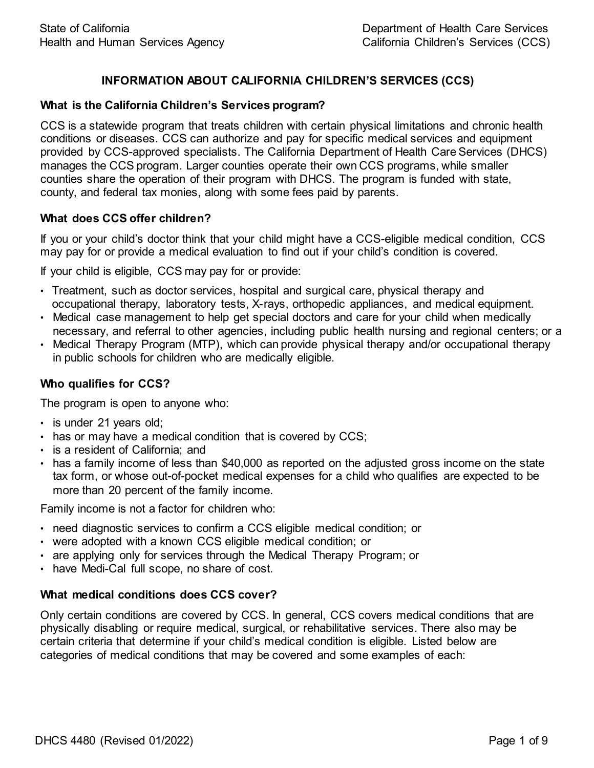# **INFORMATION ABOUT CALIFORNIA CHILDREN'S SERVICES (CCS)**

#### **What is the California Children's Services program?**

CCS is a statewide program that treats children with certain physical limitations and chronic health conditions or diseases. CCS can authorize and pay for specific medical services and equipment provided by CCS-approved specialists. The California Department of Health Care Services (DHCS) manages the CCS program. Larger counties operate their own CCS programs, while smaller counties share the operation of their program with DHCS. The program is funded with state, county, and federal tax monies, along with some fees paid by parents.

# **What does CCS offer children?**

If you or your child's doctor think that your child might have a CCS-eligible medical condition, CCS may pay for or provide a medical evaluation to find out if your child's condition is covered.

If your child is eligible, CCS may pay for or provide:

- Treatment, such as doctor services, hospital and surgical care, physical therapy and occupational therapy, laboratory tests, X- rays, orthopedic appliances, and medical equipment.
- Medical case management to help get special doctors and care for your child when medically necessary, and referral to other agencies, including public health nursing and regional centers; or a
- Medical Therapy Program (MTP), which can provide physical therapy and/or occupational therapy in public schools for children who are medically eligible.

## **Who qualifies for CCS?**

The program is open to anyone who:

- is under 21 years old;
- has or may have a medical condition that is covered by CCS;
- is a resident of California; and
- has a family income of less than \$40,000 as reported on the adjusted gross income on the state tax form, or whose out-of-pocket medical expenses for a child who qualifies are expected to be more than 20 percent of the family income.

Family income is not a factor for children who:

- need diagnostic services to confirm a CCS eligible medical condition; or
- were adopted with a known CCS eligible medical condition; or
- are applying only for services through the Medical Therapy Program; or
- have Medi-Cal full scope, no share of cost.

#### **What medical conditions does CCS cover?**

Only certain conditions are covered by CCS. In general, CCS covers medical conditions that are physically disabling or require medical, surgical, or rehabilitative services. There also may be certain criteria that determine if your child's medical condition is eligible. Listed below are categories of medical conditions that may be covered and some examples of each: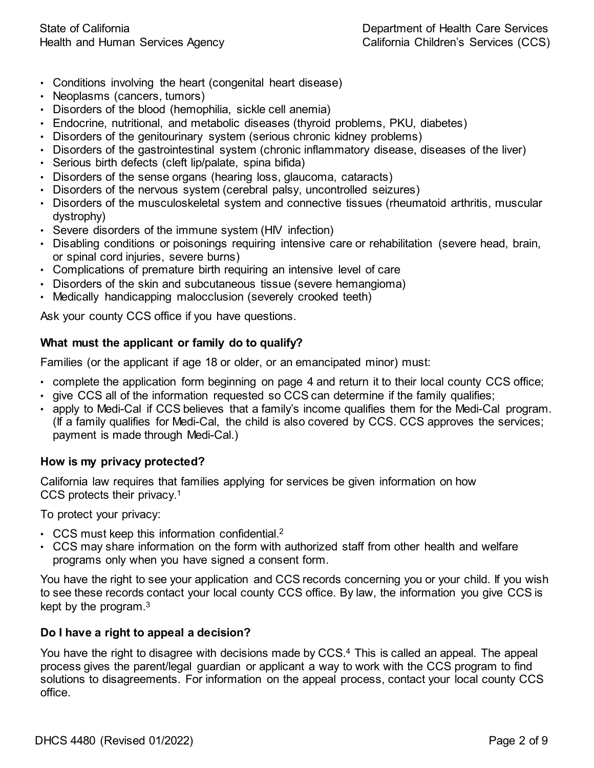- Conditions involving the heart (congenital heart disease)
- Neoplasms (cancers, tumors)
- Disorders of the blood (hemophilia, sickle cell anemia)
- Endocrine, nutritional, and metabolic diseases (thyroid problems, PKU, diabetes)
- Disorders of the genitourinary system (serious chronic kidney problems)
- Disorders of the gastrointestinal system (chronic inflammatory disease, diseases of the liver)
- Serious birth defects (cleft lip/palate, spina bifida)
- Disorders of the sense organs (hearing loss, glaucoma, cataracts)
- Disorders of the nervous system (cerebral palsy, uncontrolled seizures)
- Disorders of the musculoskeletal system and connective tissues (rheumatoid arthritis, muscular dystrophy)
- Severe disorders of the immune system (HIV infection)
- Disabling conditions or poisonings requiring intensive care or rehabilitation (severe head, brain, or spinal cord injuries, severe burns)
- Complications of premature birth requiring an intensive level of care
- Disorders of the skin and subcutaneous tissue (severe hemangioma)
- Medically handicapping malocclusion (severely crooked teeth)

Ask your county CCS office if you have questions.

# **What must the applicant or family do to qualify?**

Families (or the applicant if age 18 or older, or an emancipated minor) must:

- complete the application form beginning on page 4 and return it to their local county CCS office;
- give CCS all of the information requested so CCS can determine if the family qualifies;
- apply to Medi-Cal if CCS believes that a family's income qualifies them for the Medi-Cal program. (If a family qualifies for Medi-Cal, the child is also covered by CCS. CCS approves the services; payment is made through Medi-Cal.)

# **How is my privacy protected?**

California law requires that families applying for services be given information on how CCS protects their privacy.1

To protect your privacy:

- CCS must keep this information confidential.<sup>2</sup>
- CCS may share information on the form with authorized staff from other health and welfare programs only when you have signed a consent form.

You have the right to see your application and CCS records concerning you or your child. If you wish to see these records contact your local county CCS office. By law, the information you give CCS is kept by the program.3

# **Do I have a right to appeal a decision?**

You have the right to disagree with decisions made by CCS.4 This is called an appeal. The appeal process gives the parent/legal guardian or applicant a way to work with the CCS program to find solutions to disagreements. For information on the appeal process, contact your local county CCS office.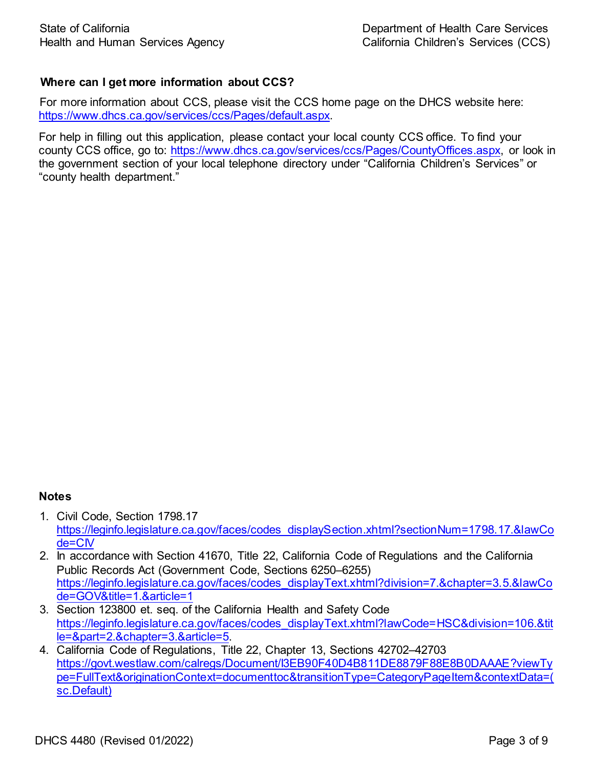# **Where can I get more information about CCS?**

For more information about CCS, please visit the CCS home page on the DHCS website here: [https://www.dhcs.ca.gov/services/ccs/Pages/default.aspx.](https://www.dhcs.ca.gov/services/ccs/Pages/default.aspx)

For help in filling out this application, please contact your local county CCS office. To find your county CCS office, go to: <https://www.dhcs.ca.gov/services/ccs/Pages/CountyOffices.aspx>, or look in the government section of your local telephone directory under "California Children's Services" or "county health department."

#### **Notes**

- 1. Civil Code, Section 1798.17 [https://leginfo.legislature.ca.gov/faces/codes\\_displaySection.xhtml?sectionNum=1798.17.&lawCo](https://leginfo.legislature.ca.gov/faces/codes_displaySection.xhtml?lawCode=CIV§ionNum=1798.17.) de=CIV
- 2. In accordance with Section 41670, Title 22, California Code of Regulations and the California Public Records Act (Government Code, Sections 6250–6255) https://leginfo.legislature.ca.gov/faces/codes\_displayText.xhtml?division=7.&chapter=3.5.&lawCo de=GOV&title=1.&article=1
- 3. Section 123800 et. seq. of the California Health and Safety Code [https://leginfo.legislature.ca.gov/faces/codes\\_displayText.xhtml?lawCode=HSC&division=106.&tit](https://leginfo.legislature.ca.gov/faces/codes_displayText.xhtml?lawCode=HSC&division=106.&tit%20le=&part=2.&chapter=3.&article=5.) le=&part=2.&chapter=3.&article=5.
- 4. California Code of Regulations, Title 22, Chapter 13, Sections 42702–42703 https://govt.westlaw.com/calregs/Document/I3EB90F40D4B811DE8879F88E8B0DAAAE?viewTy pe=FullText&originationContext=documenttoc&transitionType=CategoryPageItem&contextData=( sc.Default)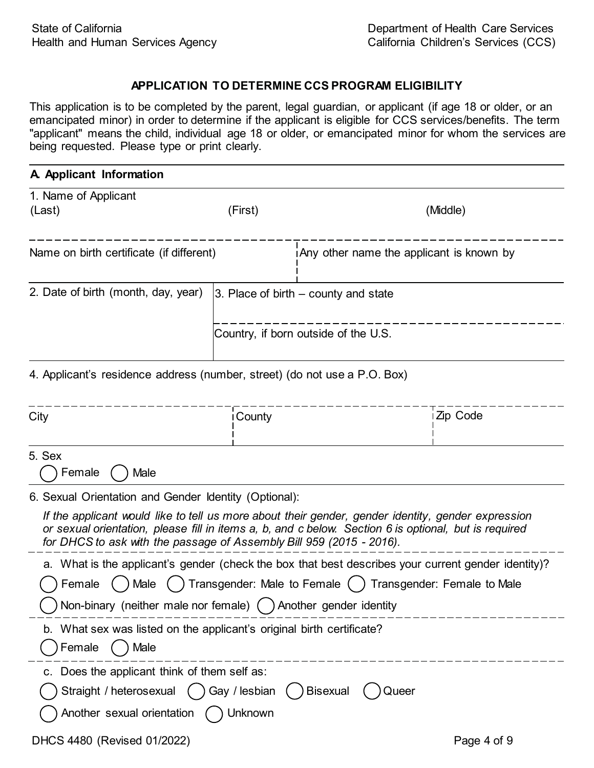#### **APPLICATION TO DETERMINE CCS PROGRAM ELIGIBILITY**

This application is to be completed by the parent, legal guardian, or applicant (if age 18 or older, or an emancipated minor) in order to determine if the applicant is eligible for CCS services/benefits. The term "applicant" means the child, individual age 18 or older, or emancipated minor for whom the services are being requested. Please type or print clearly.

| A Applicant Information                                                         |                                           |                                                                                                                                                                                                             |  |  |  |
|---------------------------------------------------------------------------------|-------------------------------------------|-------------------------------------------------------------------------------------------------------------------------------------------------------------------------------------------------------------|--|--|--|
| 1. Name of Applicant<br>(Last)                                                  | (First)                                   | (Middle)                                                                                                                                                                                                    |  |  |  |
| Name on birth certificate (if different)                                        |                                           | i Any other name the applicant is known by                                                                                                                                                                  |  |  |  |
| 2. Date of birth (month, day, year)                                             | $ 3.$ Place of birth $-$ county and state |                                                                                                                                                                                                             |  |  |  |
|                                                                                 |                                           | Country, if born outside of the U.S.                                                                                                                                                                        |  |  |  |
| 4. Applicant's residence address (number, street) (do not use a P.O. Box)       |                                           |                                                                                                                                                                                                             |  |  |  |
| City                                                                            | County                                    | i Zip Code                                                                                                                                                                                                  |  |  |  |
| 5. Sex<br>Female<br>Male                                                        |                                           |                                                                                                                                                                                                             |  |  |  |
| 6. Sexual Orientation and Gender Identity (Optional):                           |                                           |                                                                                                                                                                                                             |  |  |  |
| for DHCS to ask with the passage of Assembly Bill 959 (2015 - 2016).            |                                           | If the applicant would like to tell us more about their gender, gender identity, gender expression<br>or sexual orientation, please fill in items a, b, and c below. Section 6 is optional, but is required |  |  |  |
|                                                                                 |                                           | a. What is the applicant's gender (check the box that best describes your current gender identity)?                                                                                                         |  |  |  |
| Transgender: Male to Female ()<br>Male<br>Transgender: Female to Male<br>Female |                                           |                                                                                                                                                                                                             |  |  |  |
| Non-binary (neither male nor female) $\bigcap$ Another gender identity          |                                           |                                                                                                                                                                                                             |  |  |  |
| b. What sex was listed on the applicant's original birth certificate?           |                                           |                                                                                                                                                                                                             |  |  |  |
| Male<br>Female                                                                  |                                           |                                                                                                                                                                                                             |  |  |  |
| c. Does the applicant think of them self as:                                    |                                           |                                                                                                                                                                                                             |  |  |  |

| ◯ Straight / heterosexual () Gay / lesbian () Bisexual () Queer |  |  |
|-----------------------------------------------------------------|--|--|
|                                                                 |  |  |

| ) Another sexual orientation | Unknown |
|------------------------------|---------|
|------------------------------|---------|

DHCS 4480 (Revised 01/2022) Page 4 of 9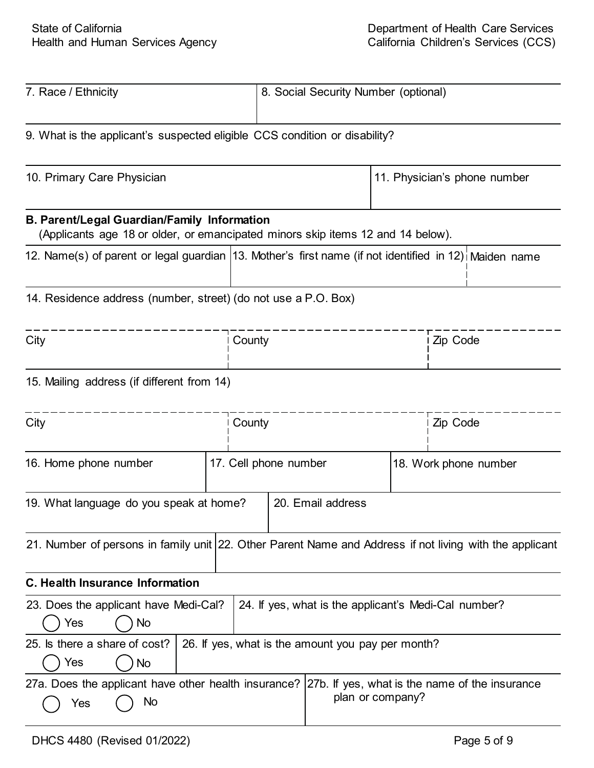| 7. Race / Ethnicity                                                                                                                           |                                                                                                         | 8. Social Security Number (optional) |                                                   |                              |                       |  |  |
|-----------------------------------------------------------------------------------------------------------------------------------------------|---------------------------------------------------------------------------------------------------------|--------------------------------------|---------------------------------------------------|------------------------------|-----------------------|--|--|
| 9. What is the applicant's suspected eligible CCS condition or disability?                                                                    |                                                                                                         |                                      |                                                   |                              |                       |  |  |
| 10. Primary Care Physician                                                                                                                    |                                                                                                         |                                      |                                                   | 11. Physician's phone number |                       |  |  |
| <b>B. Parent/Legal Guardian/Family Information</b><br>(Applicants age 18 or older, or emancipated minors skip items 12 and 14 below).         |                                                                                                         |                                      |                                                   |                              |                       |  |  |
| 12. Name(s) of parent or legal guardian 13. Mother's first name (if not identified in 12) Maiden name                                         |                                                                                                         |                                      |                                                   |                              |                       |  |  |
| 14. Residence address (number, street) (do not use a P.O. Box)                                                                                |                                                                                                         |                                      |                                                   |                              |                       |  |  |
| City                                                                                                                                          |                                                                                                         | County                               |                                                   |                              | Zip Code              |  |  |
| 15. Mailing address (if different from 14)                                                                                                    |                                                                                                         |                                      |                                                   |                              |                       |  |  |
| City                                                                                                                                          |                                                                                                         | County                               |                                                   |                              | Zip Code              |  |  |
| 16. Home phone number                                                                                                                         |                                                                                                         | 17. Cell phone number                |                                                   |                              | 18. Work phone number |  |  |
| 19. What language do you speak at home?<br>20. Email address                                                                                  |                                                                                                         |                                      |                                                   |                              |                       |  |  |
|                                                                                                                                               | 21. Number of persons in family unit 22. Other Parent Name and Address if not living with the applicant |                                      |                                                   |                              |                       |  |  |
| <b>C. Health Insurance Information</b>                                                                                                        |                                                                                                         |                                      |                                                   |                              |                       |  |  |
| 24. If yes, what is the applicant's Medi-Cal number?<br>23. Does the applicant have Medi-Cal?<br>Yes<br>No                                    |                                                                                                         |                                      |                                                   |                              |                       |  |  |
| 25. Is there a share of cost?<br>Yes<br>No                                                                                                    |                                                                                                         |                                      | 26. If yes, what is the amount you pay per month? |                              |                       |  |  |
| 27a. Does the applicant have other health insurance?   27b. If yes, what is the name of the insurance<br>plan or company?<br><b>No</b><br>Yes |                                                                                                         |                                      |                                                   |                              |                       |  |  |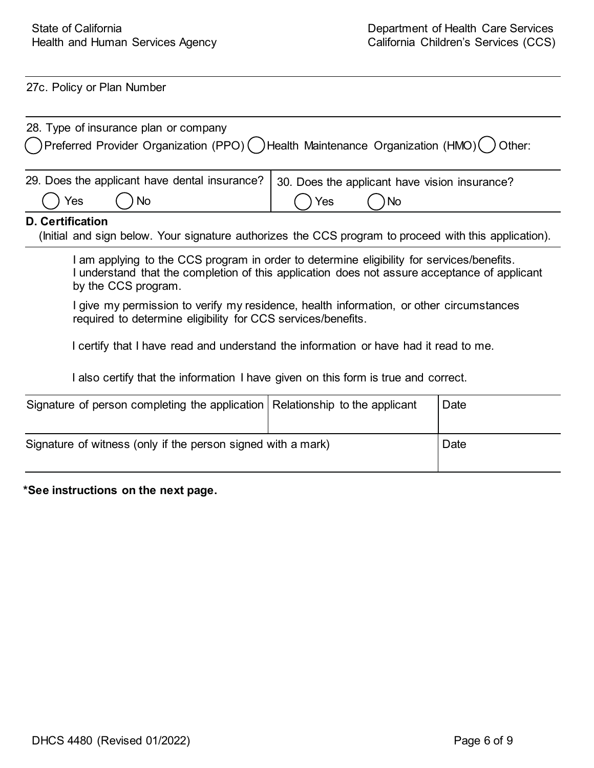27c. Policy or Plan Number

| 28. Type of insurance plan or company<br>Preferred Provider Organization (PPO) () Health Maintenance Organization (HMO)<br>Other:                                                                                |                                                            |      |  |  |
|------------------------------------------------------------------------------------------------------------------------------------------------------------------------------------------------------------------|------------------------------------------------------------|------|--|--|
| 29. Does the applicant have dental insurance?<br>Yes<br>No                                                                                                                                                       | 30. Does the applicant have vision insurance?<br>Yes<br>No |      |  |  |
| <b>D. Certification</b><br>(Initial and sign below. Your signature authorizes the CCS program to proceed with this application).                                                                                 |                                                            |      |  |  |
| I am applying to the CCS program in order to determine eligibility for services/benefits.<br>I understand that the completion of this application does not assure acceptance of applicant<br>by the CCS program. |                                                            |      |  |  |
| I give my permission to verify my residence, health information, or other circumstances<br>required to determine eligibility for CCS services/benefits.                                                          |                                                            |      |  |  |
| I certify that I have read and understand the information or have had it read to me.                                                                                                                             |                                                            |      |  |  |
| I also certify that the information I have given on this form is true and correct.                                                                                                                               |                                                            |      |  |  |
| Signature of person completing the application Relationship to the applicant                                                                                                                                     |                                                            | Date |  |  |
| Signature of witness (only if the person signed with a mark)<br>Date                                                                                                                                             |                                                            |      |  |  |

**\*See instructions on the next page.**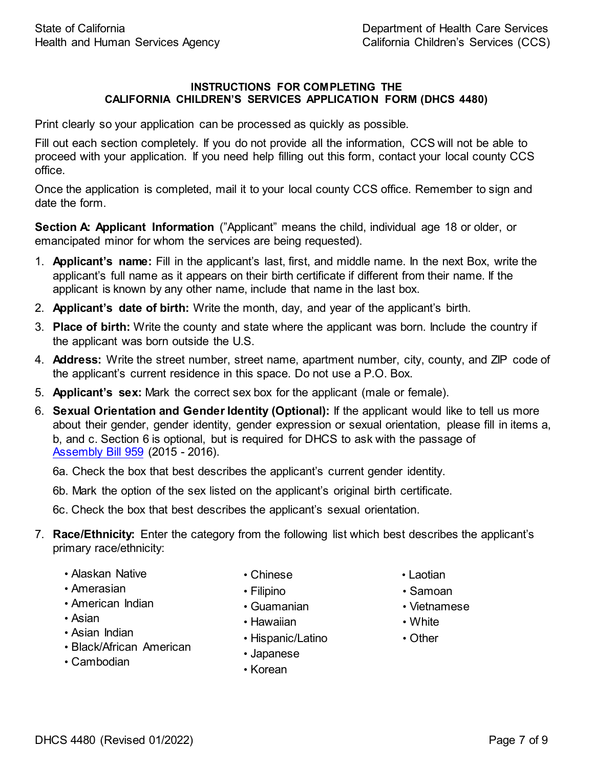#### **INSTRUCTIONS FOR COMPLETING THE CALIFORNIA CHILDREN'S SERVICES APPLICATION FORM (DHCS 4480)**

Print clearly so your application can be processed as quickly as possible.

Fill out each section completely. If you do not provide all the information, CCS will not be able to proceed with your application. If you need help filling out this form, contact your local county CCS office.

Once the application is completed, mail it to your local county CCS office. Remember to sign and date the form.

**Section A: Applicant Information** ("Applicant" means the child, individual age 18 or older, or emancipated minor for whom the services are being requested).

- 1. **Applicant's name:** Fill in the applicant's last, first, and middle name. In the next Box, write the applicant's full name as it appears on their birth certificate if different from their name. If the applicant is known by any other name, include that name in the last box.
- 2. **Applicant's date of birth:** Write the month, day, and year of the applicant's birth.
- 3. **Place of birth:** Write the county and state where the applicant was born. Include the country if the applicant was born outside the U.S.
- 4. **Address:** Write the street number, street name, apartment number, city, county, and ZIP code of the applicant's current residence in this space. Do not use a P.O. Box.
- 5. **Applicant's sex:** Mark the correct sex box for the applicant (male or female).
- 6. **Sexual Orientation and Gender Identity (Optional):** If the applicant would like to tell us more about their gender, gender identity, gender expression or sexual orientation, please fill in items a, b, and c. Section 6 is optional, but is required for DHCS to ask with the passage of [Assembly](https://leginfo.legislature.ca.gov/faces/billTextClient.xhtml?bill_id=201520160AB959) Bill 959 (2015 - 2016).

6a. Check the box that best describes the applicant's current gender identity.

6b. Mark the option of the sex listed on the applicant's original birth certificate.

6c. Check the box that best describes the applicant's sexual orientation.

- 7. **Race/Ethnicity:** Enter the category from the following list which best describes the applicant's primary race/ethnicity:
	- Alaskan Native
	- Amerasian
	- American Indian
	- Asian
	- Asian Indian
	- Black/African American
	- Cambodian
- Chinese
- Filipino
- Guamanian
- Hawaiian
- Hispanic/Latino
- Japanese
- Korean
- Laotian
- Samoan
- Vietnamese
- White
- Other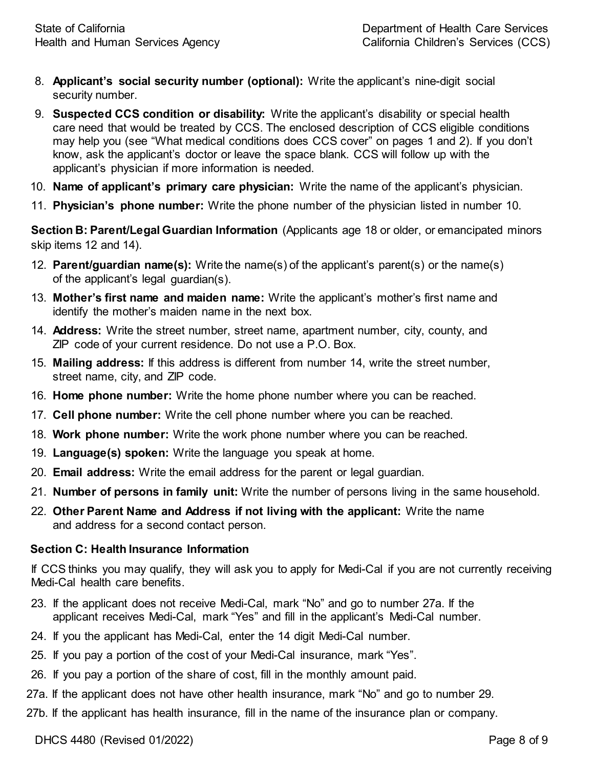- 8. **Applicant's social security number (optional):** Write the applicant's nine-digit social security number.
- 9. **Suspected CCS condition or disability:** Write the applicant's disability or special health care need that would be treated by CCS. The enclosed description of CCS eligible conditions may help you (see "What medical conditions does CCS cover" on pages 1 and 2). If you don't know, ask the applicant's doctor or leave the space blank. CCS will follow up with the applicant's physician if more information is needed.
- 10. **Name of applicant's primary care physician:** Write the name of the applicant's physician.
- 11. **Physician's phone number:** Write the phone number of the physician listed in number 10.

**Section B: Parent/Legal Guardian Information** (Applicants age 18 or older, or emancipated minors skip items 12 and 14).

- 12. **Parent/guardian name(s):** Write the name(s) of the applicant's parent(s) or the name(s) of the applicant's legal guardian(s).
- 13. **Mother's first name and maiden name:** Write the applicant's mother's first name and identify the mother's maiden name in the next box.
- 14. **Address:** Write the street number, street name, apartment number, city, county, and ZIP code of your current residence. Do not use a P.O. Box.
- 15. **Mailing address:** If this address is different from number 14, write the street number, street name, city, and ZIP code.
- 16. **Home phone number:** Write the home phone number where you can be reached.
- 17. **Cell phone number:** Write the cell phone number where you can be reached.
- 18. **Work phone number:** Write the work phone number where you can be reached.
- 19. **Language(s) spoken:** Write the language you speak at home.
- 20. **Email address:** Write the email address for the parent or legal guardian.
- 21. **Number of persons in family unit:** Write the number of persons living in the same household.
- 22. **Other Parent Name and Address if not living with the applicant:** Write the name and address for a second contact person.

#### **Section C: Health Insurance Information**

If CCS thinks you may qualify, they will ask you to apply for Medi-Cal if you are not currently receiving Medi-Cal health care benefits.

- 23. If the applicant does not receive Medi-Cal, mark "No" and go to number 27a. If the applicant receives Medi-Cal, mark "Yes" and fill in the applicant's Medi-Cal number.
- 24. If you the applicant has Medi-Cal, enter the 14 digit Medi-Cal number.
- 25. If you pay a portion of the cost of your Medi-Cal insurance, mark "Yes".
- 26. If you pay a portion of the share of cost, fill in the monthly amount paid.
- 27a. If the applicant does not have other health insurance, mark "No" and go to number 29.
- 27b. If the applicant has health insurance, fill in the name of the insurance plan or company.